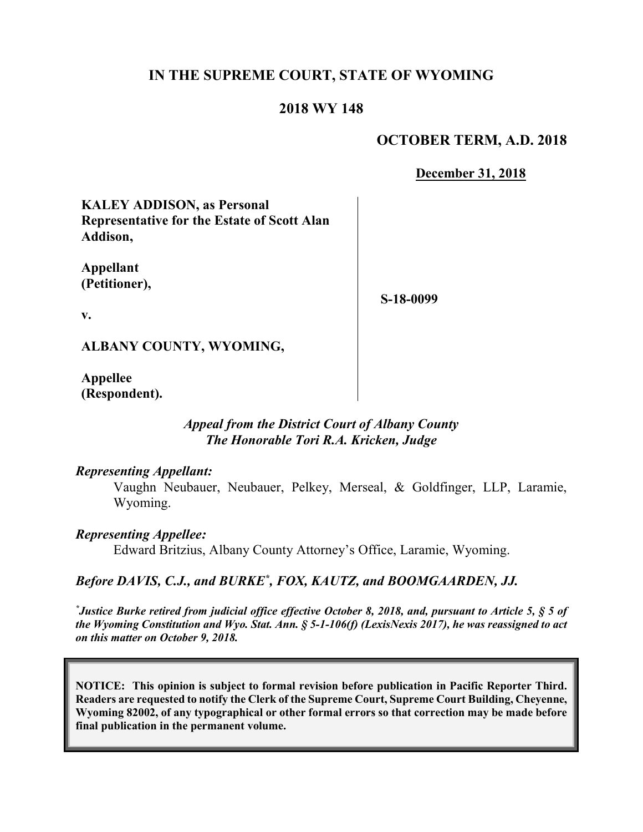# **IN THE SUPREME COURT, STATE OF WYOMING**

## **2018 WY 148**

## **OCTOBER TERM, A.D. 2018**

**December 31, 2018**

**KALEY ADDISON, as Personal Representative for the Estate of Scott Alan Addison,**

**Appellant (Petitioner),**

**S-18-0099**

**v.**

**ALBANY COUNTY, WYOMING,**

**Appellee (Respondent).**

### *Appeal from the District Court of Albany County The Honorable Tori R.A. Kricken, Judge*

#### *Representing Appellant:*

Vaughn Neubauer, Neubauer, Pelkey, Merseal, & Goldfinger, LLP, Laramie, Wyoming.

*Representing Appellee:*

Edward Britzius, Albany County Attorney's Office, Laramie, Wyoming.

## *Before DAVIS, C.J., and BURKE\* , FOX, KAUTZ, and BOOMGAARDEN, JJ.*

*\* Justice Burke retired from judicial office effective October 8, 2018, and, pursuant to Article 5, § 5 of the Wyoming Constitution and Wyo. Stat. Ann. § 5-1-106(f) (LexisNexis 2017), he was reassigned to act on this matter on October 9, 2018.*

**NOTICE: This opinion is subject to formal revision before publication in Pacific Reporter Third. Readers are requested to notify the Clerk of the Supreme Court, Supreme Court Building, Cheyenne, Wyoming 82002, of any typographical or other formal errors so that correction may be made before final publication in the permanent volume.**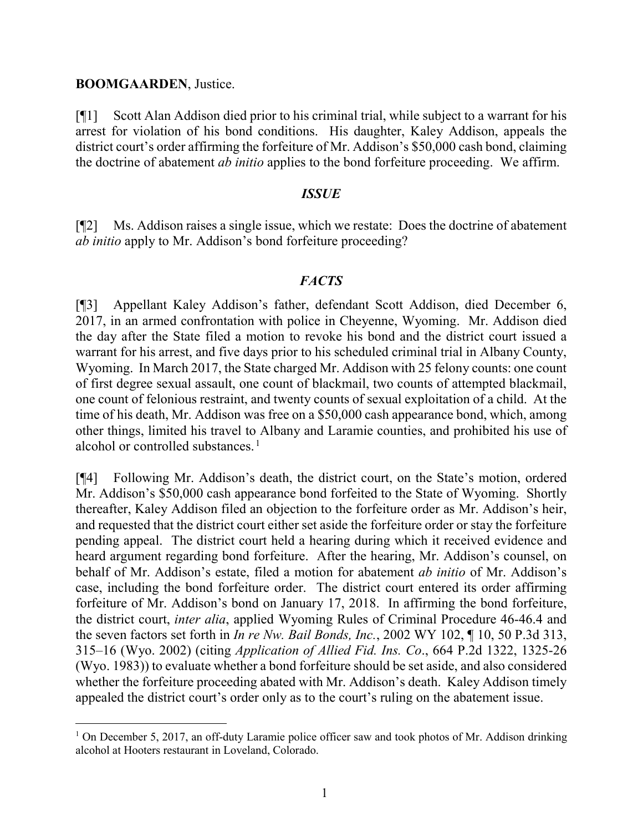### **BOOMGAARDEN**, Justice.

[¶1] Scott Alan Addison died prior to his criminal trial, while subject to a warrant for his arrest for violation of his bond conditions. His daughter, Kaley Addison, appeals the district court's order affirming the forfeiture of Mr. Addison's \$50,000 cash bond, claiming the doctrine of abatement *ab initio* applies to the bond forfeiture proceeding. We affirm.

### *ISSUE*

[¶2] Ms. Addison raises a single issue, which we restate: Does the doctrine of abatement *ab initio* apply to Mr. Addison's bond forfeiture proceeding?

### *FACTS*

[¶3] Appellant Kaley Addison's father, defendant Scott Addison, died December 6, 2017, in an armed confrontation with police in Cheyenne, Wyoming. Mr. Addison died the day after the State filed a motion to revoke his bond and the district court issued a warrant for his arrest, and five days prior to his scheduled criminal trial in Albany County, Wyoming. In March 2017, the State charged Mr. Addison with 25 felony counts: one count of first degree sexual assault, one count of blackmail, two counts of attempted blackmail, one count of felonious restraint, and twenty counts of sexual exploitation of a child. At the time of his death, Mr. Addison was free on a \$50,000 cash appearance bond, which, among other things, limited his travel to Albany and Laramie counties, and prohibited his use of alcohol or controlled substances.<sup>[1](#page-1-0)</sup>

[¶4] Following Mr. Addison's death, the district court, on the State's motion, ordered Mr. Addison's \$50,000 cash appearance bond forfeited to the State of Wyoming. Shortly thereafter, Kaley Addison filed an objection to the forfeiture order as Mr. Addison's heir, and requested that the district court either set aside the forfeiture order or stay the forfeiture pending appeal. The district court held a hearing during which it received evidence and heard argument regarding bond forfeiture. After the hearing, Mr. Addison's counsel, on behalf of Mr. Addison's estate, filed a motion for abatement *ab initio* of Mr. Addison's case, including the bond forfeiture order. The district court entered its order affirming forfeiture of Mr. Addison's bond on January 17, 2018. In affirming the bond forfeiture, the district court, *inter alia*, applied Wyoming Rules of Criminal Procedure 46-46.4 and the seven factors set forth in *In re Nw. Bail Bonds, Inc.*, 2002 WY 102, ¶ 10, 50 P.3d 313, 315–16 (Wyo. 2002) (citing *Application of Allied Fid. Ins. Co*., 664 P.2d 1322, 1325-26 (Wyo. 1983)) to evaluate whether a bond forfeiture should be set aside, and also considered whether the forfeiture proceeding abated with Mr. Addison's death. Kaley Addison timely appealed the district court's order only as to the court's ruling on the abatement issue.

<span id="page-1-0"></span><sup>&</sup>lt;sup>1</sup> On December 5, 2017, an off-duty Laramie police officer saw and took photos of Mr. Addison drinking alcohol at Hooters restaurant in Loveland, Colorado.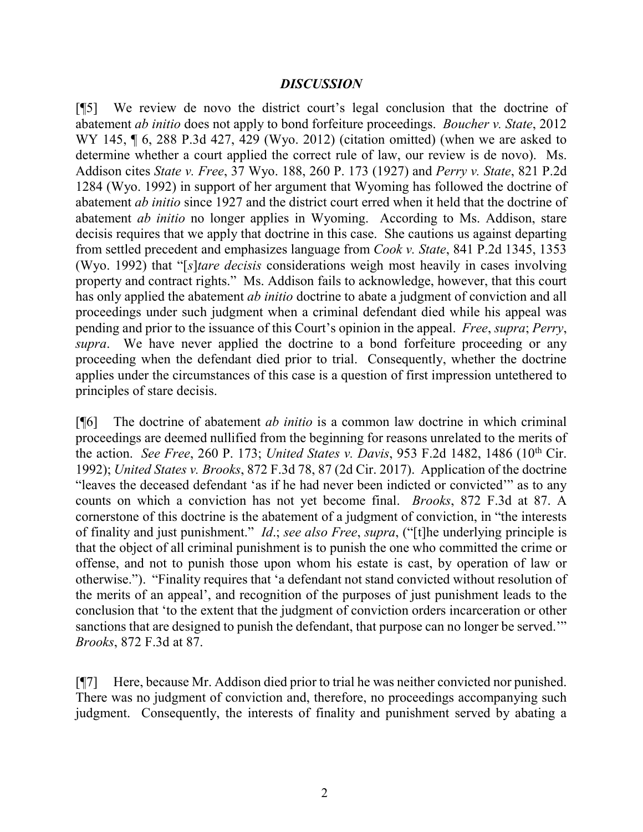### *DISCUSSION*

[¶5] We review de novo the district court's legal conclusion that the doctrine of abatement *ab initio* does not apply to bond forfeiture proceedings. *Boucher v. State*, 2012 WY 145, ¶ 6, 288 P.3d 427, 429 (Wyo. 2012) (citation omitted) (when we are asked to determine whether a court applied the correct rule of law, our review is de novo). Ms. Addison cites *State v. Free*, 37 Wyo. 188, 260 P. 173 (1927) and *Perry v. State*, 821 P.2d 1284 (Wyo. 1992) in support of her argument that Wyoming has followed the doctrine of abatement *ab initio* since 1927 and the district court erred when it held that the doctrine of abatement *ab initio* no longer applies in Wyoming. According to Ms. Addison, stare decisis requires that we apply that doctrine in this case. She cautions us against departing from settled precedent and emphasizes language from *Cook v. State*, 841 P.2d 1345, 1353 (Wyo. 1992) that "[*s*]*tare decisis* considerations weigh most heavily in cases involving property and contract rights." Ms. Addison fails to acknowledge, however, that this court has only applied the abatement *ab initio* doctrine to abate a judgment of conviction and all proceedings under such judgment when a criminal defendant died while his appeal was pending and prior to the issuance of this Court's opinion in the appeal. *Free*, *supra*; *Perry*, *supra*. We have never applied the doctrine to a bond forfeiture proceeding or any proceeding when the defendant died prior to trial. Consequently, whether the doctrine applies under the circumstances of this case is a question of first impression untethered to principles of stare decisis.

[¶6] The doctrine of abatement *ab initio* is a common law doctrine in which criminal proceedings are deemed nullified from the beginning for reasons unrelated to the merits of the action. *See Free*, 260 P. 173; *United States v. Davis*, 953 F.2d 1482, 1486 (10<sup>th</sup> Cir. 1992); *United States v. Brooks*, 872 F.3d 78, 87 (2d Cir. 2017). Application of the doctrine "leaves the deceased defendant 'as if he had never been indicted or convicted'" as to any counts on which a conviction has not yet become final. *Brooks*, 872 F.3d at 87. A cornerstone of this doctrine is the abatement of a judgment of conviction, in "the interests of finality and just punishment." *Id*.; *see also Free*, *supra*, ("[t]he underlying principle is that the object of all criminal punishment is to punish the one who committed the crime or offense, and not to punish those upon whom his estate is cast, by operation of law or otherwise."). "Finality requires that 'a defendant not stand convicted without resolution of the merits of an appeal', and recognition of the purposes of just punishment leads to the conclusion that 'to the extent that the judgment of conviction orders incarceration or other sanctions that are designed to punish the defendant, that purpose can no longer be served." *Brooks*, 872 F.3d at 87.

[¶7] Here, because Mr. Addison died prior to trial he was neither convicted nor punished. There was no judgment of conviction and, therefore, no proceedings accompanying such judgment. Consequently, the interests of finality and punishment served by abating a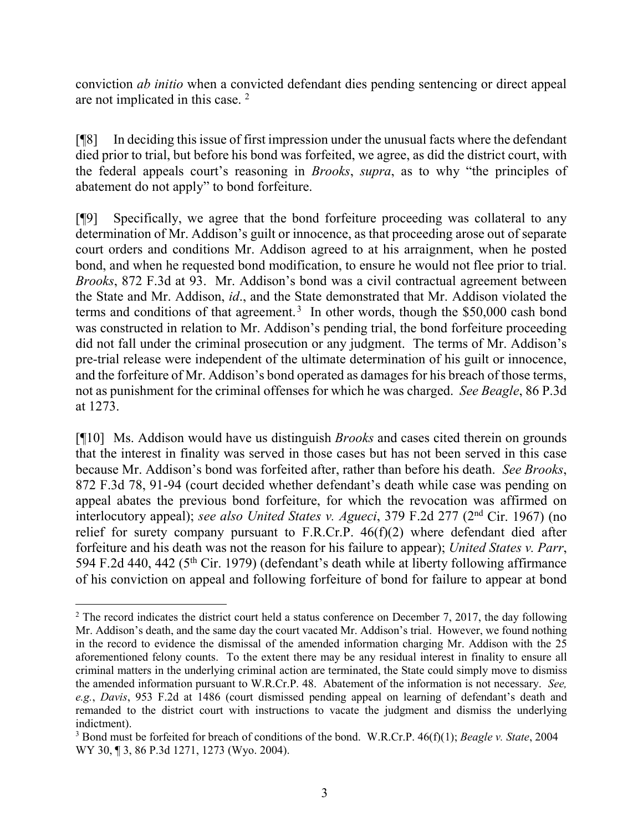conviction *ab initio* when a convicted defendant dies pending sentencing or direct appeal are not implicated in this case.<sup>[2](#page-3-0)</sup>

[¶8] In deciding this issue of first impression under the unusual facts where the defendant died prior to trial, but before his bond was forfeited, we agree, as did the district court, with the federal appeals court's reasoning in *Brooks*, *supra*, as to why "the principles of abatement do not apply" to bond forfeiture.

[¶9] Specifically, we agree that the bond forfeiture proceeding was collateral to any determination of Mr. Addison's guilt or innocence, as that proceeding arose out of separate court orders and conditions Mr. Addison agreed to at his arraignment, when he posted bond, and when he requested bond modification, to ensure he would not flee prior to trial. *Brooks*, 872 F.3d at 93. Mr. Addison's bond was a civil contractual agreement between the State and Mr. Addison, *id*., and the State demonstrated that Mr. Addison violated the terms and conditions of that agreement.<sup>[3](#page-3-1)</sup> In other words, though the \$50,000 cash bond was constructed in relation to Mr. Addison's pending trial, the bond forfeiture proceeding did not fall under the criminal prosecution or any judgment. The terms of Mr. Addison's pre-trial release were independent of the ultimate determination of his guilt or innocence, and the forfeiture of Mr. Addison's bond operated as damages for his breach of those terms, not as punishment for the criminal offenses for which he was charged. *See Beagle*, 86 P.3d at 1273.

[¶10] Ms. Addison would have us distinguish *Brooks* and cases cited therein on grounds that the interest in finality was served in those cases but has not been served in this case because Mr. Addison's bond was forfeited after, rather than before his death. *See Brooks*, 872 F.3d 78, 91-94 (court decided whether defendant's death while case was pending on appeal abates the previous bond forfeiture, for which the revocation was affirmed on interlocutory appeal); *see also United States v. Agueci*, 379 F.2d 277 (2nd Cir. 1967) (no relief for surety company pursuant to F.R.Cr.P.  $46(f)(2)$  where defendant died after forfeiture and his death was not the reason for his failure to appear); *United States v. Parr*, 594 F.2d 440, 442 (5<sup>th</sup> Cir. 1979) (defendant's death while at liberty following affirmance of his conviction on appeal and following forfeiture of bond for failure to appear at bond

<span id="page-3-0"></span><sup>&</sup>lt;sup>2</sup> The record indicates the district court held a status conference on December 7, 2017, the day following Mr. Addison's death, and the same day the court vacated Mr. Addison's trial. However, we found nothing in the record to evidence the dismissal of the amended information charging Mr. Addison with the 25 aforementioned felony counts. To the extent there may be any residual interest in finality to ensure all criminal matters in the underlying criminal action are terminated, the State could simply move to dismiss the amended information pursuant to W.R.Cr.P. 48. Abatement of the information is not necessary. *See, e.g.*, *Davis*, 953 F.2d at 1486 (court dismissed pending appeal on learning of defendant's death and remanded to the district court with instructions to vacate the judgment and dismiss the underlying indictment).

<span id="page-3-1"></span><sup>3</sup> Bond must be forfeited for breach of conditions of the bond. W.R.Cr.P. 46(f)(1); *Beagle v. State*, 2004 WY 30, ¶ 3, 86 P.3d 1271, 1273 (Wyo. 2004).